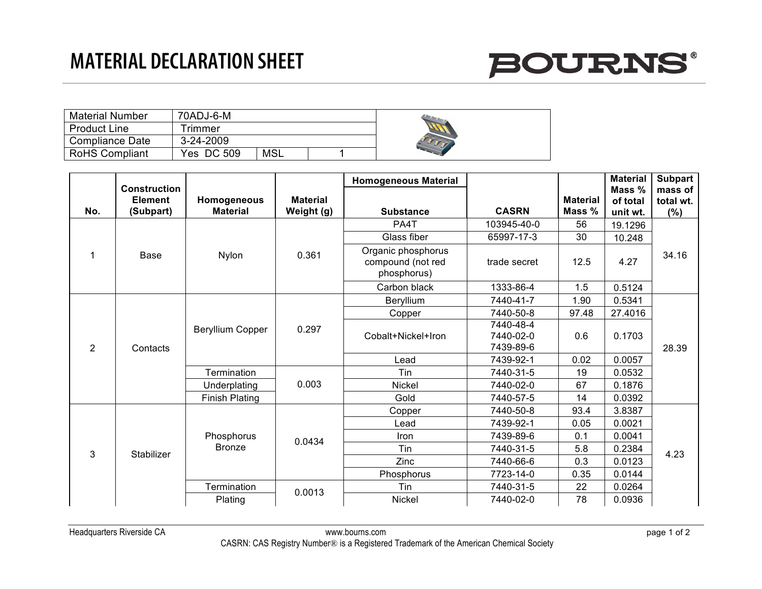## **MATERIAL DECLARATION SHEET**



| <b>Material Number</b> | 70ADJ-6-M  |            |  |  |
|------------------------|------------|------------|--|--|
| <b>Product Line</b>    | Frimmer    |            |  |  |
| Compliance Date        | 3-24-2009  |            |  |  |
| <b>RoHS Compliant</b>  | Yes DC 509 | <b>MSL</b> |  |  |

|                |                                                    |                                |                               | <b>Homogeneous Material</b>                            |                                     |                           | <b>Material</b>                | <b>Subpart</b>              |
|----------------|----------------------------------------------------|--------------------------------|-------------------------------|--------------------------------------------------------|-------------------------------------|---------------------------|--------------------------------|-----------------------------|
| No.            | <b>Construction</b><br><b>Element</b><br>(Subpart) | Homogeneous<br><b>Material</b> | <b>Material</b><br>Weight (g) | <b>Substance</b>                                       | <b>CASRN</b>                        | <b>Material</b><br>Mass % | Mass %<br>of total<br>unit wt. | mass of<br>total wt.<br>(%) |
|                | <b>Base</b>                                        | Nylon                          | 0.361                         | PA4T                                                   | 103945-40-0                         | 56                        | 19.1296                        | 34.16                       |
|                |                                                    |                                |                               | Glass fiber                                            | 65997-17-3                          | 30                        | 10.248                         |                             |
|                |                                                    |                                |                               | Organic phosphorus<br>compound (not red<br>phosphorus) | trade secret                        | 12.5                      | 4.27                           |                             |
|                |                                                    |                                |                               | Carbon black                                           | 1333-86-4                           | 1.5                       | 0.5124                         |                             |
| $\overline{2}$ | Contacts                                           | <b>Beryllium Copper</b>        | 0.297                         | Beryllium                                              | 7440-41-7                           | 1.90                      | 0.5341                         | 28.39                       |
|                |                                                    |                                |                               | Copper                                                 | 7440-50-8                           | 97.48                     | 27.4016                        |                             |
|                |                                                    |                                |                               | Cobalt+Nickel+Iron                                     | 7440-48-4<br>7440-02-0<br>7439-89-6 | 0.6                       | 0.1703                         |                             |
|                |                                                    |                                |                               | Lead                                                   | 7439-92-1                           | 0.02                      | 0.0057                         |                             |
|                |                                                    | Termination                    | 0.003                         | Tin                                                    | 7440-31-5                           | 19                        | 0.0532                         |                             |
|                |                                                    | Underplating                   |                               | Nickel                                                 | 7440-02-0                           | 67                        | 0.1876                         |                             |
|                |                                                    | <b>Finish Plating</b>          |                               | Gold                                                   | 7440-57-5                           | 14                        | 0.0392                         |                             |
| 3              | Stabilizer                                         | Phosphorus<br><b>Bronze</b>    | 0.0434                        | Copper                                                 | 7440-50-8                           | 93.4                      | 3.8387                         | 4.23                        |
|                |                                                    |                                |                               | Lead                                                   | 7439-92-1                           | 0.05                      | 0.0021                         |                             |
|                |                                                    |                                |                               | Iron                                                   | 7439-89-6                           | 0.1                       | 0.0041                         |                             |
|                |                                                    |                                |                               | Tin                                                    | 7440-31-5                           | 5.8                       | 0.2384                         |                             |
|                |                                                    |                                |                               | Zinc                                                   | 7440-66-6                           | 0.3                       | 0.0123                         |                             |
|                |                                                    |                                |                               | Phosphorus                                             | 7723-14-0                           | 0.35                      | 0.0144                         |                             |
|                |                                                    | Termination                    | 0.0013                        | Tin                                                    | 7440-31-5                           | 22                        | 0.0264                         |                             |
|                |                                                    | Plating                        |                               | Nickel                                                 | 7440-02-0                           | 78                        | 0.0936                         |                             |